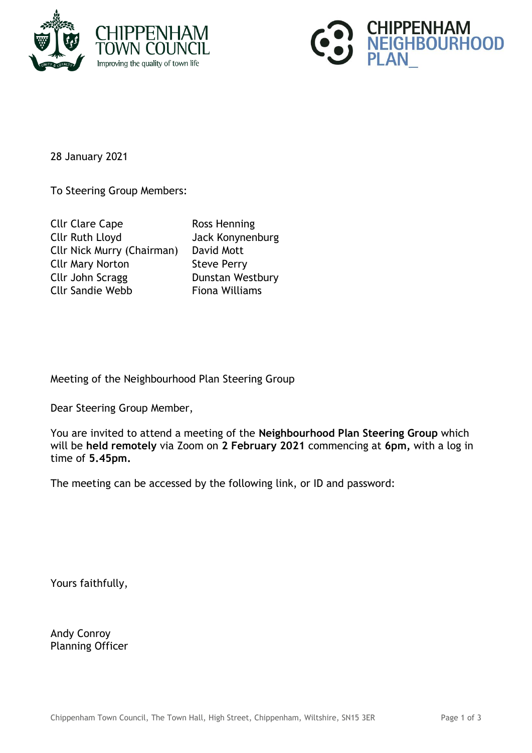



28 January 2021

To Steering Group Members:

| <b>Cllr Clare Cape</b>            | Ross Henning          |
|-----------------------------------|-----------------------|
| <b>Cllr Ruth Lloyd</b>            | Jack Konynenburg      |
| <b>Cllr Nick Murry (Chairman)</b> | David Mott            |
| <b>Cllr Mary Norton</b>           | <b>Steve Perry</b>    |
| Cllr John Scragg                  | Dunstan Westbury      |
| <b>Cllr Sandie Webb</b>           | <b>Fiona Williams</b> |

Meeting of the Neighbourhood Plan Steering Group

Dear Steering Group Member,

You are invited to attend a meeting of the **Neighbourhood Plan Steering Group** which will be **held remotely** via Zoom on **2 February 2021** commencing at **6pm,** with a log in time of **5.45pm.**

The meeting can be accessed by the following link, or ID and password:

Yours faithfully,

Andy Conroy Planning Officer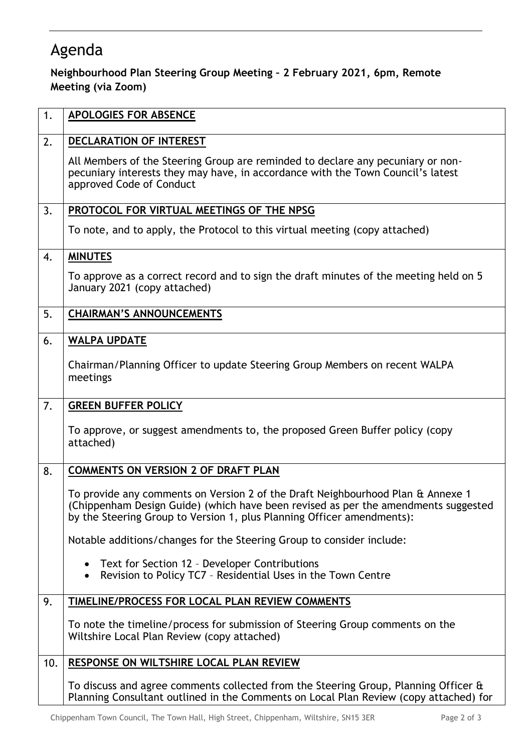## Agenda

## **Neighbourhood Plan Steering Group Meeting – 2 February 2021, 6pm, Remote Meeting (via Zoom)**

| 1.  | APOLOGIES FOR ABSENCE                                                                                                                                                                                                                           |
|-----|-------------------------------------------------------------------------------------------------------------------------------------------------------------------------------------------------------------------------------------------------|
| 2.  | DECLARATION OF INTEREST                                                                                                                                                                                                                         |
|     | All Members of the Steering Group are reminded to declare any pecuniary or non-<br>pecuniary interests they may have, in accordance with the Town Council's latest<br>approved Code of Conduct                                                  |
| 3.  | PROTOCOL FOR VIRTUAL MEETINGS OF THE NPSG                                                                                                                                                                                                       |
|     | To note, and to apply, the Protocol to this virtual meeting (copy attached)                                                                                                                                                                     |
| 4.  | <b>MINUTES</b>                                                                                                                                                                                                                                  |
|     | To approve as a correct record and to sign the draft minutes of the meeting held on 5<br>January 2021 (copy attached)                                                                                                                           |
| 5.  | <b>CHAIRMAN'S ANNOUNCEMENTS</b>                                                                                                                                                                                                                 |
| 6.  | <b>WALPA UPDATE</b>                                                                                                                                                                                                                             |
|     | Chairman/Planning Officer to update Steering Group Members on recent WALPA<br>meetings                                                                                                                                                          |
| 7.  | <b>GREEN BUFFER POLICY</b>                                                                                                                                                                                                                      |
|     | To approve, or suggest amendments to, the proposed Green Buffer policy (copy<br>attached)                                                                                                                                                       |
| 8.  | <b>COMMENTS ON VERSION 2 OF DRAFT PLAN</b>                                                                                                                                                                                                      |
|     | To provide any comments on Version 2 of the Draft Neighbourhood Plan & Annexe 1<br>(Chippenham Design Guide) (which have been revised as per the amendments suggested<br>by the Steering Group to Version 1, plus Planning Officer amendments): |
|     | Notable additions/changes for the Steering Group to consider include:                                                                                                                                                                           |
|     | • Text for Section 12 - Developer Contributions<br>Revision to Policy TC7 - Residential Uses in the Town Centre<br>$\bullet$                                                                                                                    |
| 9.  | TIMELINE/PROCESS FOR LOCAL PLAN REVIEW COMMENTS                                                                                                                                                                                                 |
|     | To note the timeline/process for submission of Steering Group comments on the<br>Wiltshire Local Plan Review (copy attached)                                                                                                                    |
| 10. | RESPONSE ON WILTSHIRE LOCAL PLAN REVIEW                                                                                                                                                                                                         |
|     | To discuss and agree comments collected from the Steering Group, Planning Officer &<br>Planning Consultant outlined in the Comments on Local Plan Review (copy attached) for                                                                    |